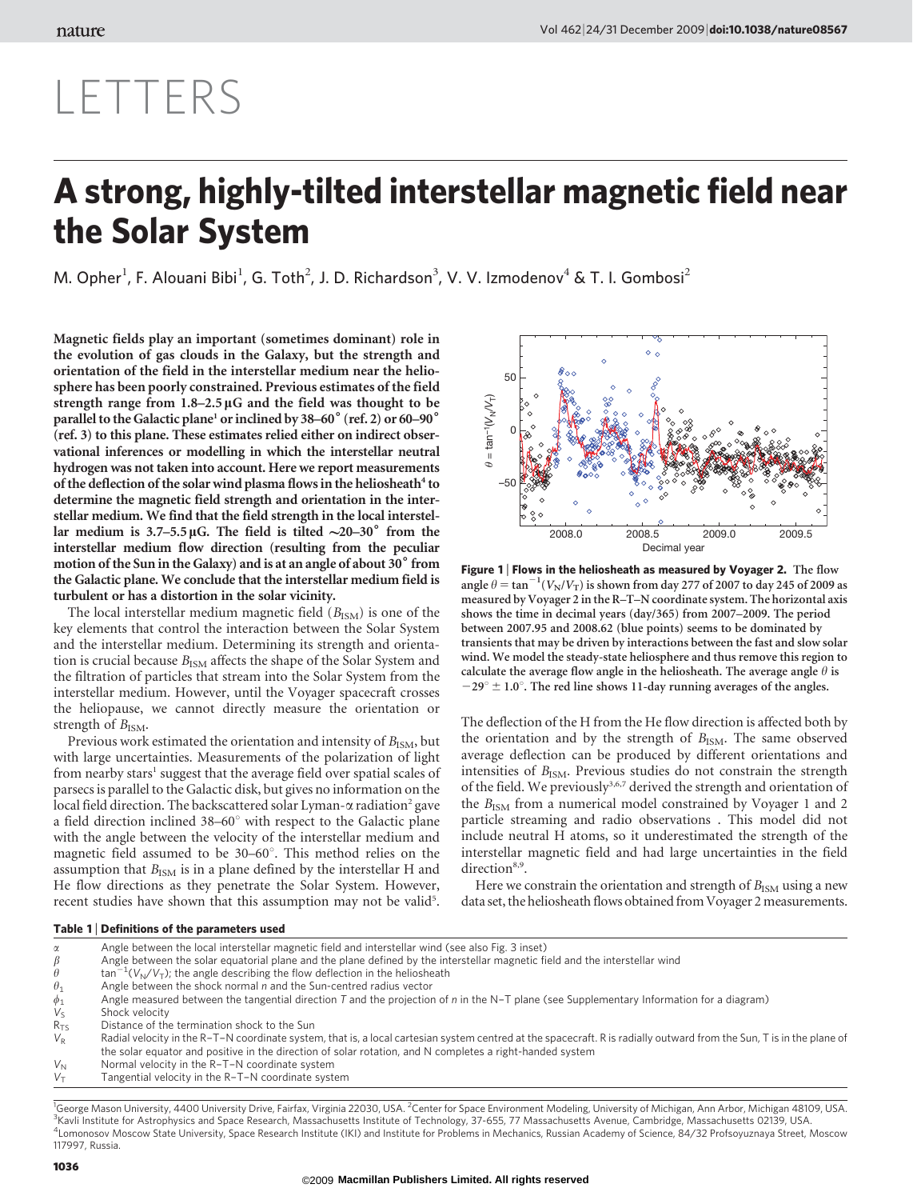## LETTERS

## A strong, highly-tilted interstellar magnetic field near the Solar System

M. Opher<sup>1</sup>, F. Alouani Bibi<sup>1</sup>, G. Toth<sup>2</sup>, J. D. Richardson<sup>3</sup>, V. V. Izmodenov<sup>4</sup> & T. I. Gombosi<sup>2</sup>

Magnetic fields play an important (sometimes dominant) role in the evolution of gas clouds in the Galaxy, but the strength and orientation of the field in the interstellar medium near the heliosphere has been poorly constrained. Previous estimates of the field strength range from 1.8–2.5 µG and the field was thought to be parallel to the Galactic plane<sup>1</sup> or inclined by  $38-60^{\circ}$  (ref. 2) or  $60-90^{\circ}$ (ref. 3) to this plane. These estimates relied either on indirect observational inferences or modelling in which the interstellar neutral hydrogen was not taken into account. Here we report measurements of the deflection of the solar wind plasma flows in the heliosheath<sup>4</sup> to determine the magnetic field strength and orientation in the interstellar medium. We find that the field strength in the local interstellar medium is  $3.7-5.5 \mu$ G. The field is tilted  $\sim$ 20-30° from the interstellar medium flow direction (resulting from the peculiar motion of the Sun in the Galaxy) and is at an angle of about  $30^{\circ}$  from the Galactic plane. We conclude that the interstellar medium field is turbulent or has a distortion in the solar vicinity.

The local interstellar medium magnetic field  $(B_{ISM})$  is one of the key elements that control the interaction between the Solar System and the interstellar medium. Determining its strength and orientation is crucial because  $B_{\text{ISM}}$  affects the shape of the Solar System and the filtration of particles that stream into the Solar System from the interstellar medium. However, until the Voyager spacecraft crosses the heliopause, we cannot directly measure the orientation or strength of  $B_{\text{ISM}}$ .

Previous work estimated the orientation and intensity of  $B_{\text{ISM}}$ , but with large uncertainties. Measurements of the polarization of light from nearby stars<sup>1</sup> suggest that the average field over spatial scales of parsecs is parallel to the Galactic disk, but gives no information on the local field direction. The backscattered solar Lyman- $\alpha$  radiation<sup>2</sup> gave a field direction inclined  $38-60^\circ$  with respect to the Galactic plane with the angle between the velocity of the interstellar medium and magnetic field assumed to be  $30-60^\circ$ . This method relies on the assumption that  $B_{\text{ISM}}$  is in a plane defined by the interstellar H and He flow directions as they penetrate the Solar System. However, recent studies have shown that this assumption may not be valid<sup>5</sup>.



Figure 1 | Flows in the heliosheath as measured by Voyager 2. The flow angle  $\theta = \tan^{-1}(V_N/V_T)$  is shown from day 277 of 2007 to day 245 of 2009 as measured by Voyager 2 in the R–T–N coordinate system. The horizontal axis shows the time in decimal years (day/365) from 2007–2009. The period between 2007.95 and 2008.62 (blue points) seems to be dominated by transients that may be driven by interactions between the fast and slow solar wind. We model the steady-state heliosphere and thus remove this region to calculate the average flow angle in the heliosheath. The average angle  $\theta$  is  $-29^{\circ} \pm 1.0^{\circ}$ . The red line shows 11-day running averages of the angles.

The deflection of the H from the He flow direction is affected both by the orientation and by the strength of  $B_{\text{ISM}}$ . The same observed average deflection can be produced by different orientations and intensities of  $B_{ISM}$ . Previous studies do not constrain the strength of the field. We previously<sup>3,6,7</sup> derived the strength and orientation of the  $B_{\text{ISM}}$  from a numerical model constrained by Voyager 1 and 2 particle streaming and radio observations . This model did not include neutral H atoms, so it underestimated the strength of the interstellar magnetic field and had large uncertainties in the field direction<sup>8,9</sup>.

Here we constrain the orientation and strength of  $B_{\text{ISM}}$  using a new data set, the heliosheath flows obtained from Voyager 2 measurements.

## Table 1 <sup>|</sup> Definitions of the parameters used

- $\alpha$  Angle between the local interstellar magnetic field and interstellar wind (see also Fig. 3 inset)<br>  $\beta$  Angle between the solar equatorial plane and the plane defined by the interstellar magnetic fi  $\beta$  Angle between the solar equatorial plane and the plane defined by the interstellar magnetic field and the interstellar wind  $\theta$  tan<sup>-1</sup>( $V_{\rm b}/V_{\rm T}$ ): the angle describing the flow deflection in the heliosheath  $h \rightarrow$  tan<sup>-1</sup>( $V_N/V_T$ ); the angle describing the flow deflection in the heliosheath  $\theta_1$  Angle between the shock normal *n* and the Sun-centred radius vector  $\phi_1$  Angle measured between the tangential direction *T* and the projection  $V_S$  Shock velocity Angle measured between the tangential direction T and the projection of n in the N-T plane (see Supplementary Information for a diagram)  $V_S$  Shock velocity<br>R<sub>TS</sub> Distance of the  $R_{TS}$  Distance of the termination shock to the Sun  $V_R$  Radial velocity in the R-T-N coordinate system Radial velocity in the R–T–N coordinate system, that is, a local cartesian system centred at the spacecraft. R is radially outward from the Sun, T is in the plane of
- the solar equator and positive in the direction of solar rotation, and N completes a right-handed system
- $V_N$  Normal velocity in the R–T–N coordinate system<br> $V_T$  Tangential velocity in the R–T–N coordinate syst
- Tangential velocity in the R-T-N coordinate system

<sup>1</sup>George Mason University, 4400 University Drive, Fairfax, Virginia 22030, USA. <sup>2</sup>Center for Space Environment Modeling, University of Michigan, Ann Arbor, Michigan 48109, USA.<br><sup>3</sup>Kayli Instituto for Astrophysics and Spa <sup>3</sup>Kavli Institute for Astrophysics and Space Research, Massachusetts Institute of Technology, 37-655, 77 Massachusetts Avenue, Cambridge, Massachusetts 02139, USA. Lomonosov Moscow State University, Space Research Institute (IKI) and Institute for Problems in Mechanics, Russian Academy of Science, 84/32 Profsoyuznaya Street, Moscow 117997, Russia.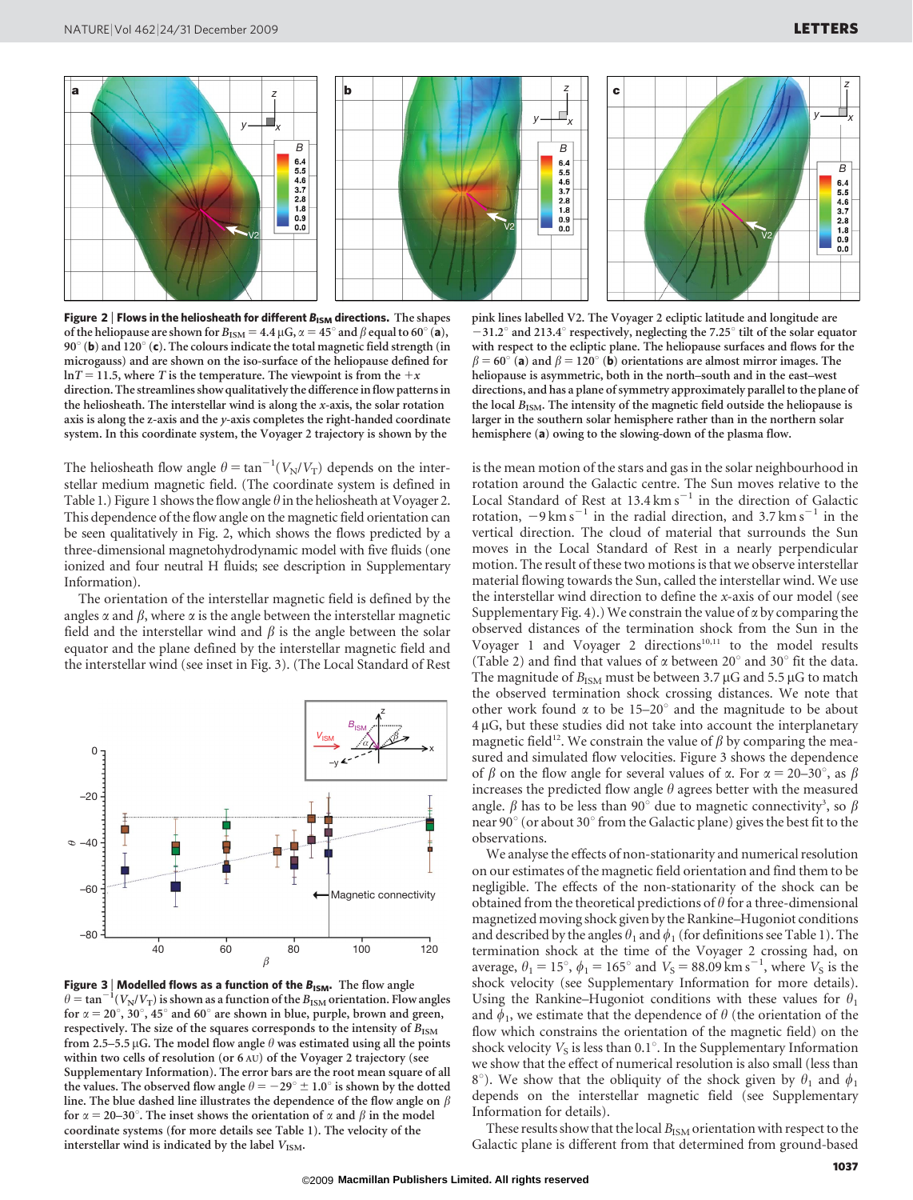

Figure 2 | Flows in the heliosheath for different  $B_{\text{ISM}}$  directions. The shapes of the heliopause are shown for  $B_{\text{ISM}} = 4.4 \mu\text{G}, \alpha = 45^\circ$  and  $\beta$  equal to 60° (a), 90 $^{\circ}$  (b) and 120 $^{\circ}$  (c). The colours indicate the total magnetic field strength (in microgauss) and are shown on the iso-surface of the heliopause defined for  $\ln T = 11.5$ , where T is the temperature. The viewpoint is from the +x direction. The streamlines show qualitatively the difference in flow patterns in the heliosheath. The interstellar wind is along the x-axis, the solar rotation axis is along the z-axis and the y-axis completes the right-handed coordinate system. In this coordinate system, the Voyager 2 trajectory is shown by the

The heliosheath flow angle  $\theta = \tan^{-1}(V_N/V_T)$  depends on the interstellar medium magnetic field. (The coordinate system is defined in Table 1.) Figure 1 shows the flow angle  $\theta$  in the heliosheath at Voyager 2. This dependence of the flow angle on the magnetic field orientation can be seen qualitatively in Fig. 2, which shows the flows predicted by a three-dimensional magnetohydrodynamic model with five fluids (one ionized and four neutral H fluids; see description in Supplementary Information).

The orientation of the interstellar magnetic field is defined by the angles  $\alpha$  and  $\beta$ , where  $\alpha$  is the angle between the interstellar magnetic field and the interstellar wind and  $\beta$  is the angle between the solar equator and the plane defined by the interstellar magnetic field and the interstellar wind (see inset in Fig. 3). (The Local Standard of Rest



**Figure 3** | **Modelled flows as a function of the**  $B_{\text{ISM}}$ **.** The flow angle  $\theta = \tan^{-1}(V_N/V_T)$  is shown as a function of the  $B_{\text{ISM}}$  orientation. Flow angles for  $\alpha = 20^{\circ}$ , 30°, 45° and 60° are shown in blue, purple, brown and green, respectively. The size of the squares corresponds to the intensity of  $B_{\rm ISM}$ from 2.5–5.5  $\mu$ G. The model flow angle  $\theta$  was estimated using all the points within two cells of resolution (or 6 AU) of the Voyager 2 trajectory (see Supplementary Information). The error bars are the root mean square of all the values. The observed flow angle  $\theta = -29^{\circ} \pm 1.0^{\circ}$  is shown by the dotted line. The blue dashed line illustrates the dependence of the flow angle on  $\beta$ for  $\alpha = 20-30^{\circ}$ . The inset shows the orientation of  $\alpha$  and  $\beta$  in the model coordinate systems (for more details see Table 1). The velocity of the interstellar wind is indicated by the label  $V_{\text{ISM}}$ .

pink lines labelled V2. The Voyager 2 ecliptic latitude and longitude are  $-31.2^{\circ}$  and 213.4° respectively, neglecting the 7.25° tilt of the solar equator with respect to the ecliptic plane. The heliopause surfaces and flows for the  $\beta = 60^\circ$  (a) and  $\beta = 120^\circ$  (b) orientations are almost mirror images. The heliopause is asymmetric, both in the north–south and in the east–west directions, and has a plane of symmetry approximately parallel to the plane of the local  $B_{ISM}$ . The intensity of the magnetic field outside the heliopause is larger in the southern solar hemisphere rather than in the northern solar hemisphere (a) owing to the slowing-down of the plasma flow.

is the mean motion of the stars and gas in the solar neighbourhood in rotation around the Galactic centre. The Sun moves relative to the Local Standard of Rest at  $13.4 \text{ km s}^{-1}$  in the direction of Galactic rotation,  $-9 \text{ km s}^{-1}$  in the radial direction, and 3.7 km s<sup>-1</sup> in the vertical direction. The cloud of material that surrounds the Sun moves in the Local Standard of Rest in a nearly perpendicular motion. The result of these two motions is that we observe interstellar material flowing towards the Sun, called the interstellar wind. We use the interstellar wind direction to define the x-axis of our model (see Supplementary Fig. 4).) We constrain the value of  $\alpha$  by comparing the observed distances of the termination shock from the Sun in the Voyager 1 and Voyager 2 directions $10,11$  to the model results (Table 2) and find that values of  $\alpha$  between  $20^\circ$  and  $30^\circ$  fit the data. The magnitude of  $B_{\text{ISM}}$  must be between 3.7  $\mu$ G and 5.5  $\mu$ G to match the observed termination shock crossing distances. We note that other work found  $\alpha$  to be 15–20° and the magnitude to be about  $4 \mu G$ , but these studies did not take into account the interplanetary magnetic field<sup>12</sup>. We constrain the value of  $\beta$  by comparing the measured and simulated flow velocities. Figure 3 shows the dependence of  $\beta$  on the flow angle for several values of  $\alpha$ . For  $\alpha = 20-30^{\circ}$ , as  $\beta$ increases the predicted flow angle  $\theta$  agrees better with the measured angle.  $\beta$  has to be less than 90° due to magnetic connectivity<sup>3</sup>, so  $\beta$ near 90° (or about 30° from the Galactic plane) gives the best fit to the observations.

We analyse the effects of non-stationarity and numerical resolution on our estimates of the magnetic field orientation and find them to be negligible. The effects of the non-stationarity of the shock can be obtained from the theoretical predictions of  $\theta$  for a three-dimensional magnetized moving shock given by the Rankine–Hugoniot conditions and described by the angles  $\theta_1$  and  $\phi_1$  (for definitions see Table 1). The termination shock at the time of the Voyager 2 crossing had, on average,  $\theta_1 = 15^\circ$ ,  $\phi_1 = 165^\circ$  and  $V_s = 88.09$  km s<sup>-1</sup>, where  $V_s$  is the shock velocity (see Supplementary Information for more details). Using the Rankine–Hugoniot conditions with these values for  $\theta_1$ and  $\phi_1$ , we estimate that the dependence of  $\theta$  (the orientation of the flow which constrains the orientation of the magnetic field) on the shock velocity  $V_s$  is less than 0.1°. In the Supplementary Information we show that the effect of numerical resolution is also small (less than 8°). We show that the obliquity of the shock given by  $\theta_1$  and  $\phi_1$ depends on the interstellar magnetic field (see Supplementary Information for details).

These results show that the local  $B_{\text{ISM}}$  orientation with respect to the Galactic plane is different from that determined from ground-based